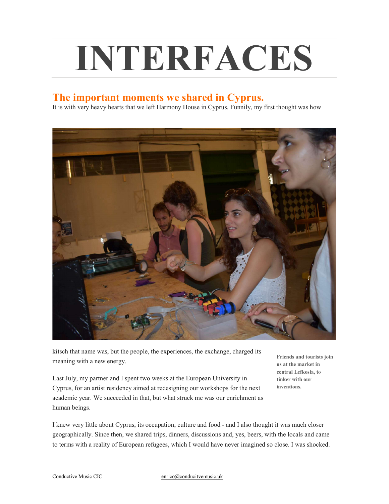## INTERFACES

## The important moments we shared in Cyprus.

It is with very heavy hearts that we left Harmony House in Cyprus. Funnily, my first thought was how



kitsch that name was, but the people, the experiences, the exchange, charged its meaning with a new energy.

Last July, my partner and I spent two weeks at the European University in Cyprus, for an artist residency aimed at redesigning our workshops for the next academic year. We succeeded in that, but what struck me was our enrichment as human beings.

Friends and tourists join us at the market in central Lefkosia, to tinker with our inventions.

I knew very little about Cyprus, its occupation, culture and food - and I also thought it was much closer geographically. Since then, we shared trips, dinners, discussions and, yes, beers, with the locals and came to terms with a reality of European refugees, which I would have never imagined so close. I was shocked.